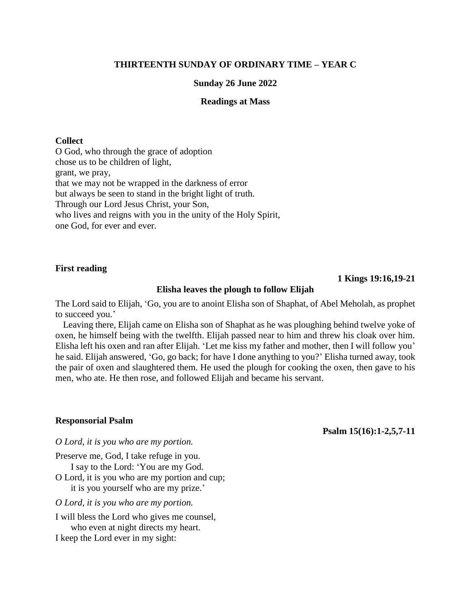# **THIRTEENTH SUNDAY OF ORDINARY TIME – YEAR C**

## **Sunday 26 June 2022**

# **Readings at Mass**

### **Collect**

O God, who through the grace of adoption chose us to be children of light, grant, we pray, that we may not be wrapped in the darkness of error but always be seen to stand in the bright light of truth. Through our Lord Jesus Christ, your Son, who lives and reigns with you in the unity of the Holy Spirit, one God, for ever and ever.

## **First reading**

## **1 Kings 19:16,19-21**

## **Elisha leaves the plough to follow Elijah**

The Lord said to Elijah, 'Go, you are to anoint Elisha son of Shaphat, of Abel Meholah, as prophet to succeed you.'

Leaving there, Elijah came on Elisha son of Shaphat as he was ploughing behind twelve yoke of oxen, he himself being with the twelfth. Elijah passed near to him and threw his cloak over him. Elisha left his oxen and ran after Elijah. 'Let me kiss my father and mother, then I will follow you' he said. Elijah answered, 'Go, go back; for have I done anything to you?' Elisha turned away, took the pair of oxen and slaughtered them. He used the plough for cooking the oxen, then gave to his men, who ate. He then rose, and followed Elijah and became his servant.

#### **Responsorial Psalm**

**Psalm 15(16):1-2,5,7-11**

*O Lord, it is you who are my portion.*

Preserve me, God, I take refuge in you.

I say to the Lord: 'You are my God. O Lord, it is you who are my portion and cup; it is you yourself who are my prize.'

*O Lord, it is you who are my portion.*

I will bless the Lord who gives me counsel,

who even at night directs my heart.

I keep the Lord ever in my sight: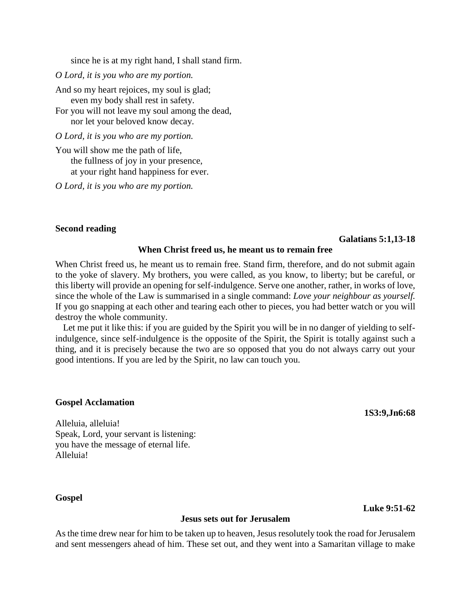since he is at my right hand, I shall stand firm.

*O Lord, it is you who are my portion.*

And so my heart rejoices, my soul is glad; even my body shall rest in safety.

For you will not leave my soul among the dead, nor let your beloved know decay.

*O Lord, it is you who are my portion.*

You will show me the path of life, the fullness of joy in your presence, at your right hand happiness for ever.

*O Lord, it is you who are my portion.*

## **Second reading**

#### **Galatians 5:1,13-18**

### **When Christ freed us, he meant us to remain free**

When Christ freed us, he meant us to remain free. Stand firm, therefore, and do not submit again to the yoke of slavery. My brothers, you were called, as you know, to liberty; but be careful, or this liberty will provide an opening for self-indulgence. Serve one another, rather, in works of love, since the whole of the Law is summarised in a single command: *Love your neighbour as yourself.* If you go snapping at each other and tearing each other to pieces, you had better watch or you will destroy the whole community.

Let me put it like this: if you are guided by the Spirit you will be in no danger of yielding to selfindulgence, since self-indulgence is the opposite of the Spirit, the Spirit is totally against such a thing, and it is precisely because the two are so opposed that you do not always carry out your good intentions. If you are led by the Spirit, no law can touch you.

#### **Gospel Acclamation**

**1S3:9,Jn6:68**

**Luke 9:51-62**

Alleluia, alleluia! Speak, Lord, your servant is listening: you have the message of eternal life. Alleluia!

## **Gospel**

## **Jesus sets out for Jerusalem**

As the time drew near for him to be taken up to heaven, Jesus resolutely took the road for Jerusalem and sent messengers ahead of him. These set out, and they went into a Samaritan village to make